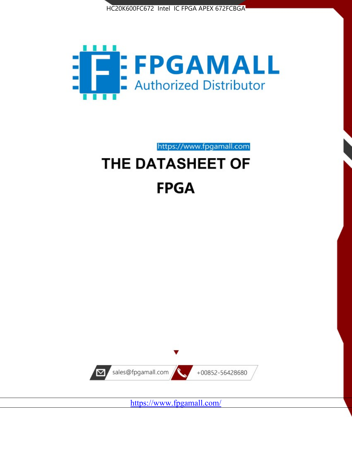



https://www.fpgamall.com

# THE DATASHEET OF **FPGA**



<https://www.fpgamall.com/>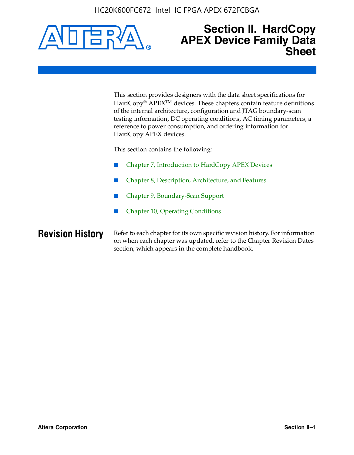HC20K600FC672 Intel IC FPGA APEX 672FCBGA



# **Section II. HardCopy APEX Device Family Data Sheet**

This section provides designers with the data sheet specifications for HardCopy<sup>®</sup> APEX<sup>™</sup> devices. These chapters contain feature definitions of the internal architecture, configuration and JTAG boundary-scan testing information, DC operating conditions, AC timing parameters, a reference to power consumption, and ordering information for HardCopy APEX devices.

This section contains the following:

- Chapter 7, Introduction to HardCopy APEX Devices
- Chapter 8, Description, Architecture, and Features
- Chapter 9, Boundary-Scan Support
- Chapter 10, Operating Conditions

**Revision History** Refer to each chapter for its own specific revision history. For information on when each chapter was updated, refer to the Chapter Revision Dates section, which appears in the complete handbook.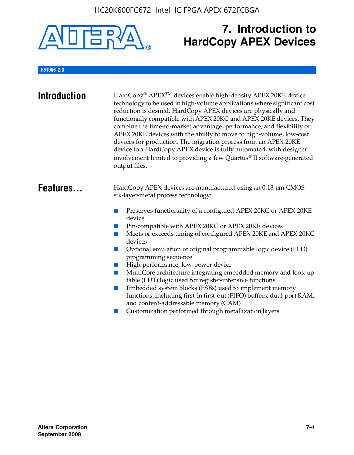

# **7. Introduction to HardCopy APEX Devices**

# **H51006-2.3**

| <b>Introduction</b> | HardCopy® APEX <sup>™</sup> devices enable high-density APEX 20KE device<br>technology to be used in high-volume applications where significant cost<br>reduction is desired. HardCopy APEX devices are physically and<br>functionally compatible with APEX 20KC and APEX 20KE devices. They<br>combine the time-to-market advantage, performance, and flexibility of<br>APEX 20KE devices with the ability to move to high-volume, low-cost<br>devices for production. The migration process from an APEX 20KE<br>device to a HardCopy APEX device is fully automated, with designer<br>involvement limited to providing a few Quartus® II software-generated<br>output files.                                                                                                                                    |
|---------------------|--------------------------------------------------------------------------------------------------------------------------------------------------------------------------------------------------------------------------------------------------------------------------------------------------------------------------------------------------------------------------------------------------------------------------------------------------------------------------------------------------------------------------------------------------------------------------------------------------------------------------------------------------------------------------------------------------------------------------------------------------------------------------------------------------------------------|
| Features            | HardCopy APEX devices are manufactured using an 0.18-um CMOS<br>six-layer-metal process technology:<br>Preserves functionality of a configured APEX 20KC or APEX 20KE<br>device<br>Pin-compatible with APEX 20KC or APEX 20KE devices<br>Meets or exceeds timing of configured APEX 20KE and APEX 20KC<br>devices<br>Optional emulation of original programmable logic device (PLD)<br>programming sequence<br>High-performance, low-power device<br>MultiCore architecture integrating embedded memory and look-up<br>table (LUT) logic used for register-intensive functions<br>Embedded system blocks (ESBs) used to implement memory<br>functions, including first-in first-out (FIFO) buffers, dual-port RAM,<br>and content-addressable memory (CAM)<br>Customization performed through metallization layers |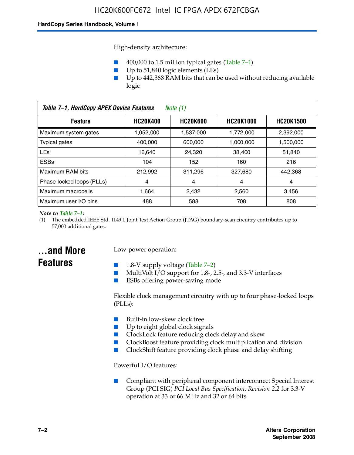High-density architecture:

- 400,000 to 1.5 million typical gates (Table 7–1)
- Up to 51,840 logic elements (LEs)
- Up to 442,368 RAM bits that can be used without reducing available logic

| Table 7-1. HardCopy APEX Device Features<br>Note (1) |                 |                 |                  |                  |
|------------------------------------------------------|-----------------|-----------------|------------------|------------------|
| <b>Feature</b>                                       | <b>HC20K400</b> | <b>HC20K600</b> | <b>HC20K1000</b> | <b>HC20K1500</b> |
| Maximum system gates                                 | 1,052,000       | 1,537,000       | 1,772,000        | 2,392,000        |
| <b>Typical gates</b>                                 | 400.000         | 600,000         | 1.000.000        | 1,500,000        |
| <b>LEs</b>                                           | 16.640          | 24,320          | 38.400           | 51,840           |
| <b>ESBs</b>                                          | 104             | 152             | 160              | 216              |
| Maximum RAM bits                                     | 212,992         | 311,296         | 327,680          | 442,368          |
| Phase-locked loops (PLLs)                            | 4               | 4               | 4                | 4                |
| Maximum macrocells                                   | 1.664           | 2,432           | 2,560            | 3,456            |
| Maximum user I/O pins                                | 488             | 588             | 708              | 808              |

#### *Note to Table 7–1:*

(1) The embedded IEEE Std. 1149.1 Joint Test Action Group (JTAG) boundary-scan circuitry contributes up to 57,000 additional gates.

# **...and More Features**

# Low-power operation:

- 1.8-V supply voltage (Table  $7-2$ )
- MultiVolt I/O support for 1.8-, 2.5-, and 3.3-V interfaces
- ESBs offering power-saving mode

Flexible clock management circuitry with up to four phase-locked loops (PLLs):

- Built-in low-skew clock tree
- Up to eight global clock signals
- ClockLock feature reducing clock delay and skew
- ClockBoost feature providing clock multiplication and division
- ClockShift feature providing clock phase and delay shifting

Powerful I/O features:

■ Compliant with peripheral component interconnect Special Interest Group (PCI SIG) *PCI Local Bus Specification, Revision 2.2* for 3.3-V operation at 33 or 66 MHz and 32 or 64 bits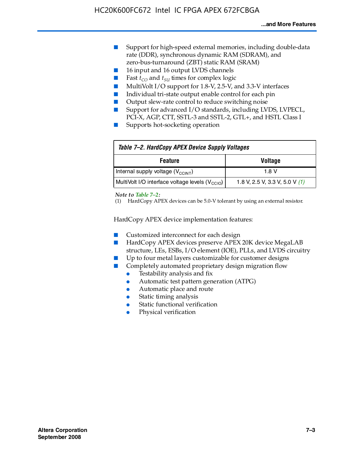- Support for high-speed external memories, including double-data rate (DDR), synchronous dynamic RAM (SDRAM), and zero-bus-turnaround (ZBT) static RAM (SRAM)
- 16 input and 16 output LVDS channels
- Fast  $t_{CO}$  and  $t_{SU}$  times for complex logic
- MultiVolt I/O support for 1.8-V, 2.5-V, and 3.3-V interfaces
- Individual tri-state output enable control for each pin
- Output slew-rate control to reduce switching noise
- Support for advanced I/O standards, including LVDS, LVPECL, PCI-X, AGP, CTT, SSTL-3 and SSTL-2, GTL+, and HSTL Class I
- Supports hot-socketing operation

| Table 7-2. HardCopy APEX Device Supply Voltages             |                                  |
|-------------------------------------------------------------|----------------------------------|
| <b>Voltage</b><br><b>Feature</b>                            |                                  |
| Internal supply voltage (V <sub>CCINT</sub> )               | 1.8 V                            |
| MultiVolt I/O interface voltage levels (V <sub>CCIO</sub> ) | 1.8 V, 2.5 V, 3.3 V, 5.0 V $(1)$ |

#### *Note to Table 7–2:*

(1) HardCopy APEX devices can be 5.0-V tolerant by using an external resistor.

HardCopy APEX device implementation features:

- Customized interconnect for each design
- HardCopy APEX devices preserve APEX 20K device MegaLAB structure, LEs, ESBs, I/O element (IOE), PLLs, and LVDS circuitry
- Up to four metal layers customizable for customer designs
- Completely automated proprietary design migration flow
	- Testability analysis and fix
	- Automatic test pattern generation (ATPG)
	- Automatic place and route
	- Static timing analysis
	- Static functional verification
	- Physical verification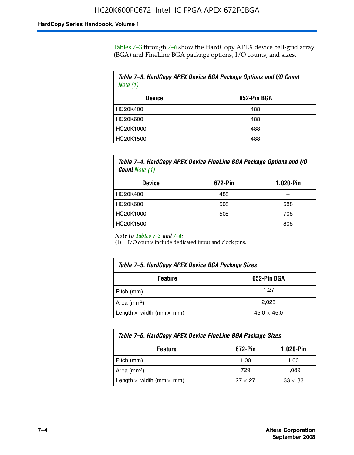Tables 7–3 through 7–6 show the HardCopy APEX device ball-grid array (BGA) and FineLine BGA package options, I/O counts, and sizes.

| Table 7–3. HardCopy APEX Device BGA Package Options and I/O Count<br>Note $(1)$ |             |  |
|---------------------------------------------------------------------------------|-------------|--|
| <b>Device</b>                                                                   | 652-Pin BGA |  |
| HC20K400                                                                        | 488         |  |
| HC20K600                                                                        | 488         |  |
| HC20K1000                                                                       | 488         |  |
| HC20K1500                                                                       | 488         |  |

*Table 7–4. HardCopy APEX Device FineLine BGA Package Options and I/O Count Note (1)*

| <b>Device</b>   | 672-Pin | 1,020-Pin |
|-----------------|---------|-----------|
| HC20K400        | 488     |           |
| <b>HC20K600</b> | 508     | 588       |
| HC20K1000       | 508     | 708       |
| HC20K1500       |         | 808       |

*Note to Tables 7–3 and 7–4:*

(1) I/O counts include dedicated input and clock pins.

| Table 7–5. HardCopy APEX Device BGA Package Sizes |                    |  |
|---------------------------------------------------|--------------------|--|
| 652-Pin BGA<br><b>Feature</b>                     |                    |  |
| Pitch (mm)                                        | 1.27               |  |
| Area (mm <sup>2</sup> )                           | 2.025              |  |
| Length $\times$ width (mm $\times$ mm)            | $45.0 \times 45.0$ |  |

| Table 7–6. HardCopy APEX Device FineLine BGA Package Sizes |                |                |  |
|------------------------------------------------------------|----------------|----------------|--|
| <b>Feature</b>                                             | 672-Pin        | 1,020-Pin      |  |
| Pitch (mm)                                                 | 1.00           | 1.00           |  |
| Area $(mm2)$                                               | 729            | 1.089          |  |
| Length $\times$ width (mm $\times$ mm)                     | $27 \times 27$ | $33 \times 33$ |  |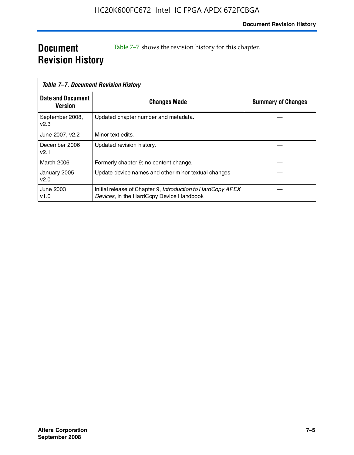# **Document Revision History**

Table 7–7 shows the revision history for this chapter.

|                                     | Table 7–7. Document Revision History                                                                    |                           |
|-------------------------------------|---------------------------------------------------------------------------------------------------------|---------------------------|
| <b>Date and Document</b><br>Version | <b>Changes Made</b>                                                                                     | <b>Summary of Changes</b> |
| September 2008,<br>V <sub>2.3</sub> | Updated chapter number and metadata.                                                                    |                           |
| June 2007, v2.2                     | Minor text edits.                                                                                       |                           |
| December 2006<br>v2.1               | Updated revision history.                                                                               |                           |
| March 2006                          | Formerly chapter 9; no content change.                                                                  |                           |
| January 2005<br>v2.0                | Update device names and other minor textual changes                                                     |                           |
| June 2003<br>v1.0                   | Initial release of Chapter 9, Introduction to HardCopy APEX<br>Devices, in the HardCopy Device Handbook |                           |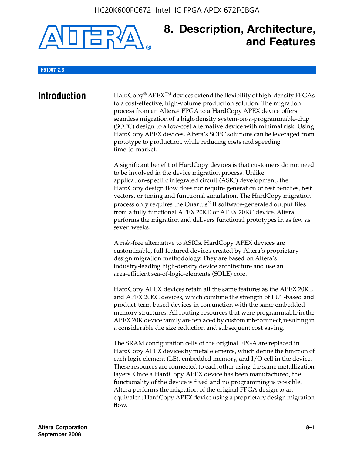

# **8. Description, Architecture, and Features**

#### **H51007-2.3**

**Introduction** HardCopy<sup>®</sup> APEX<sup>TM</sup> devices extend the flexibility of high-density FPGAs to a cost-effective, high-volume production solution. The migration process from an Altera® FPGA to a HardCopy APEX device offers seamless migration of a high-density system-on-a-programmable-chip (SOPC) design to a low-cost alternative device with minimal risk. Using HardCopy APEX devices, Altera's SOPC solutions can be leveraged from prototype to production, while reducing costs and speeding time-to-market.

> A significant benefit of HardCopy devices is that customers do not need to be involved in the device migration process. Unlike application-specific integrated circuit (ASIC) development, the HardCopy design flow does not require generation of test benches, test vectors, or timing and functional simulation. The HardCopy migration process only requires the Quartus® II software-generated output files from a fully functional APEX 20KE or APEX 20KC device. Altera performs the migration and delivers functional prototypes in as few as seven weeks.

A risk-free alternative to ASICs, HardCopy APEX devices are customizable, full-featured devices created by Altera's proprietary design migration methodology. They are based on Altera's industry-leading high-density device architecture and use an area-efficient sea-of-logic-elements (SOLE) core.

HardCopy APEX devices retain all the same features as the APEX 20KE and APEX 20KC devices, which combine the strength of LUT-based and product-term-based devices in conjunction with the same embedded memory structures. All routing resources that were programmable in the APEX 20K device family are replaced by custom interconnect, resulting in a considerable die size reduction and subsequent cost saving.

The SRAM configuration cells of the original FPGA are replaced in HardCopy APEX devices by metal elements, which define the function of each logic element (LE), embedded memory, and I/O cell in the device. These resources are connected to each other using the same metallization layers. Once a HardCopy APEX device has been manufactured, the functionality of the device is fixed and no programming is possible. Altera performs the migration of the original FPGA design to an equivalent HardCopy APEX device using a proprietary design migration flow.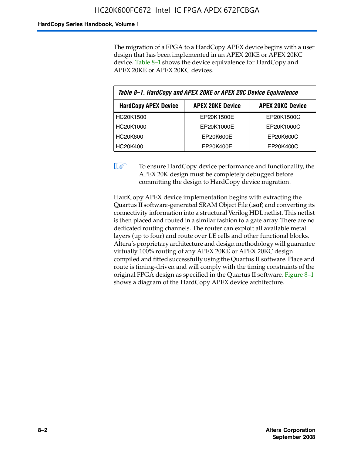The migration of a FPGA to a HardCopy APEX device begins with a user design that has been implemented in an APEX 20KE or APEX 20KC device. Table 8–1 shows the device equivalence for HardCopy and APEX 20KE or APEX 20KC devices.

| Table 8-1. HardCopy and APEX 20KE or APEX 20C Device Equivalence                  |            |            |  |
|-----------------------------------------------------------------------------------|------------|------------|--|
| <b>APEX 20KC Device</b><br><b>HardCopy APEX Device</b><br><b>APEX 20KE Device</b> |            |            |  |
| HC20K1500                                                                         | EP20K1500E | EP20K1500C |  |
| HC20K1000                                                                         | EP20K1000E | EP20K1000C |  |
| <b>HC20K600</b>                                                                   | EP20K600E  | EP20K600C  |  |
| HC20K400                                                                          | EP20K400E  | EP20K400C  |  |

 $\mathbb{I}$  To ensure HardCopy device performance and functionality, the APEX 20K design must be completely debugged before committing the design to HardCopy device migration.

HardCopy APEX device implementation begins with extracting the Quartus II software-generated SRAM Object File (**.sof**) and converting its connectivity information into a structural Verilog HDL netlist. This netlist is then placed and routed in a similar fashion to a gate array. There are no dedicated routing channels. The router can exploit all available metal layers (up to four) and route over LE cells and other functional blocks. Altera's proprietary architecture and design methodology will guarantee virtually 100% routing of any APEX 20KE or APEX 20KC design compiled and fitted successfully using the Quartus II software. Place and route is timing-driven and will comply with the timing constraints of the original FPGA design as specified in the Quartus II software. Figure 8–1 shows a diagram of the HardCopy APEX device architecture.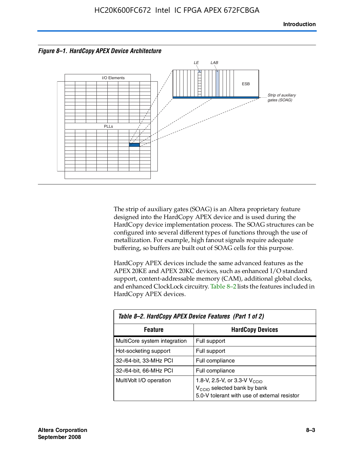



The strip of auxiliary gates (SOAG) is an Altera proprietary feature designed into the HardCopy APEX device and is used during the HardCopy device implementation process. The SOAG structures can be configured into several different types of functions through the use of metallization. For example, high fanout signals require adequate buffering, so buffers are built out of SOAG cells for this purpose.

HardCopy APEX devices include the same advanced features as the APEX 20KE and APEX 20KC devices, such as enhanced I/O standard support, content-addressable memory (CAM), additional global clocks, and enhanced ClockLock circuitry. Table 8–2 lists the features included in HardCopy APEX devices.

| Table 8–2. HardCopy APEX Device Features (Part 1 of 2) |                                                                                                                                     |  |  |
|--------------------------------------------------------|-------------------------------------------------------------------------------------------------------------------------------------|--|--|
| <b>Feature</b>                                         | <b>HardCopy Devices</b>                                                                                                             |  |  |
| MultiCore system integration                           | Full support                                                                                                                        |  |  |
| Hot-socketing support                                  | Full support                                                                                                                        |  |  |
| 32-/64-bit, 33-MHz PCI                                 | Full compliance                                                                                                                     |  |  |
| 32-/64-bit, 66-MHz PCI                                 | Full compliance                                                                                                                     |  |  |
| MultiVolt I/O operation                                | 1.8-V, 2.5-V, or 3.3-V $V_{\text{CCIO}}$<br>V <sub>CCIO</sub> selected bank by bank<br>5.0-V tolerant with use of external resistor |  |  |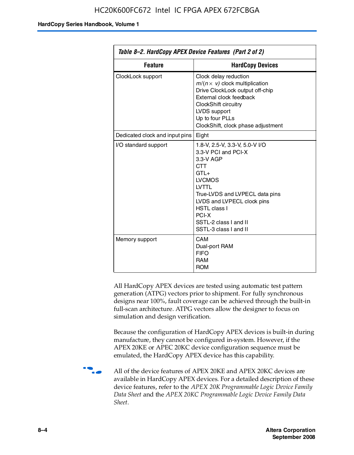| Table 8–2. HardCopy APEX Device Features (Part 2 of 2) |                                                                                                                                                                                                                                                                                |  |
|--------------------------------------------------------|--------------------------------------------------------------------------------------------------------------------------------------------------------------------------------------------------------------------------------------------------------------------------------|--|
| <b>Feature</b>                                         | <b>HardCopy Devices</b>                                                                                                                                                                                                                                                        |  |
| ClockLock support                                      | Clock delay reduction<br>$m/(n \times v)$ clock multiplication<br>Drive ClockLock output off-chip<br>External clock feedback<br>ClockShift circuitry<br>LVDS support<br>Up to four PLLs<br>ClockShift, clock phase adjustment                                                  |  |
| Dedicated clock and input pins                         | Eight                                                                                                                                                                                                                                                                          |  |
| I/O standard support                                   | 1.8-V, 2.5-V, 3.3-V, 5.0-V I/O<br>3.3-V PCI and PCI-X<br>3.3-V AGP<br><b>CTT</b><br>$GTI +$<br><b>LVCMOS</b><br><b>IVTTI</b><br>True-LVDS and LVPECL data pins<br>LVDS and LVPECL clock pins<br><b>HSTL class I</b><br>PCI-X<br>SSTL-2 class I and II<br>SSTL-3 class I and II |  |
| Memory support                                         | CAM<br>Dual-port RAM<br><b>FIFO</b><br><b>RAM</b><br><b>ROM</b>                                                                                                                                                                                                                |  |

All HardCopy APEX devices are tested using automatic test pattern generation (ATPG) vectors prior to shipment. For fully synchronous designs near 100%, fault coverage can be achieved through the built-in full-scan architecture. ATPG vectors allow the designer to focus on simulation and design verification.

Because the configuration of HardCopy APEX devices is built-in during manufacture, they cannot be configured in-system. However, if the APEX 20KE or APEC 20KC device configuration sequence must be emulated, the HardCopy APEX device has this capability.

**f all of the device features of APEX 20KE and APEX 20KC devices are** available in HardCopy APEX devices. For a detailed description of these device features, refer to the *APEX 20K Programmable Logic Device Family Data Sheet* and the *APEX 20KC Programmable Logic Device Family Data Sheet*.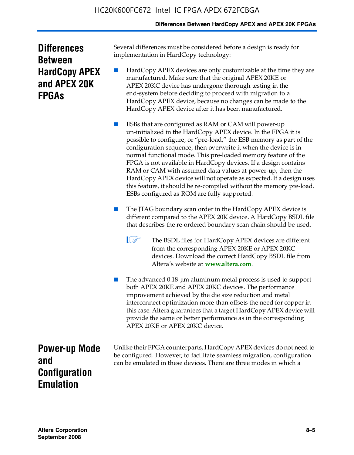# **Differences Between HardCopy APEX and APEX 20K FPGAs**

| <b>Differences</b>   |
|----------------------|
| <b>Between</b>       |
| <b>HardCopy APEX</b> |
| and APEX 20K         |
| <b>FPGAs</b>         |

Several differences must be considered before a design is ready for implementation in HardCopy technology:

HardCopy APEX devices are only customizable at the time they are manufactured. Make sure that the original APEX 20KE or APEX 20KC device has undergone thorough testing in the end-system before deciding to proceed with migration to a HardCopy APEX device, because no changes can be made to the HardCopy APEX device after it has been manufactured.

ESBs that are configured as RAM or CAM will power-up un-initialized in the HardCopy APEX device. In the FPGA it is possible to configure, or "pre-load," the ESB memory as part of the configuration sequence, then overwrite it when the device is in normal functional mode. This pre-loaded memory feature of the FPGA is not available in HardCopy devices. If a design contains RAM or CAM with assumed data values at power-up, then the HardCopy APEX device will not operate as expected. If a design uses this feature, it should be re-compiled without the memory pre-load. ESBs configured as ROM are fully supported.

- The JTAG boundary scan order in the HardCopy APEX device is different compared to the APEX 20K device. A HardCopy BSDL file that describes the re-ordered boundary scan chain should be used.
	- **1 The BSDL files for HardCopy APEX devices are different** from the corresponding APEX 20KE or APEX 20KC devices. Download the correct HardCopy BSDL file from Altera's website at **[www.altera.com](http://www.altera.com)**.

The advanced 0.18-μm aluminum metal process is used to support both APEX 20KE and APEX 20KC devices. The performance improvement achieved by the die size reduction and metal interconnect optimization more than offsets the need for copper in this case. Altera guarantees that a target HardCopy APEX device will provide the same or better performance as in the corresponding APEX 20KE or APEX 20KC device.

**Power-up Mode and Configuration Emulation**

Unlike their FPGA counterparts, HardCopy APEX devices do not need to be configured. However, to facilitate seamless migration, configuration can be emulated in these devices. There are three modes in which a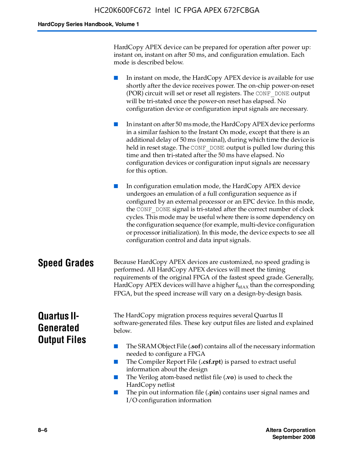HardCopy APEX device can be prepared for operation after power up: instant on, instant on after 50 ms, and configuration emulation. Each mode is described below.

■ In instant on mode, the HardCopy APEX device is available for use shortly after the device receives power. The on-chip power-on-reset (POR) circuit will set or reset all registers. The CONF\_DONE output will be tri-stated once the power-on reset has elapsed. No configuration device or configuration input signals are necessary.

In instant on after 50 ms mode, the HardCopy APEX device performs in a similar fashion to the Instant On mode, except that there is an additional delay of 50 ms (nominal), during which time the device is held in reset stage. The CONF DONE output is pulled low during this time and then tri-stated after the 50 ms have elapsed. No configuration devices or configuration input signals are necessary for this option.

In configuration emulation mode, the HardCopy APEX device undergoes an emulation of a full configuration sequence as if configured by an external processor or an EPC device. In this mode, the CONF\_DONE signal is tri-stated after the correct number of clock cycles. This mode may be useful where there is some dependency on the configuration sequence (for example, multi-device configuration or processor initialization). In this mode, the device expects to see all configuration control and data input signals.

# **Speed Grades** Because HardCopy APEX devices are customized, no speed grading is performed. All HardCopy APEX devices will meet the timing requirements of the original FPGA of the fastest speed grade. Generally, HardCopy APEX devices will have a higher  $f_{MAX}$  than the corresponding FPGA, but the speed increase will vary on a design-by-design basis.

# **Quartus II-Generated Output Files**

The HardCopy migration process requires several Quartus II software-generated files. These key output files are listed and explained below.

- The SRAM Object File (**.sof**) contains all of the necessary information needed to configure a FPGA
- The Compiler Report File (.csf.rpt) is parsed to extract useful information about the design
- The Verilog atom-based netlist file (**.vo**) is used to check the HardCopy netlist
- The pin out information file (**.pin**) contains user signal names and I/O configuration information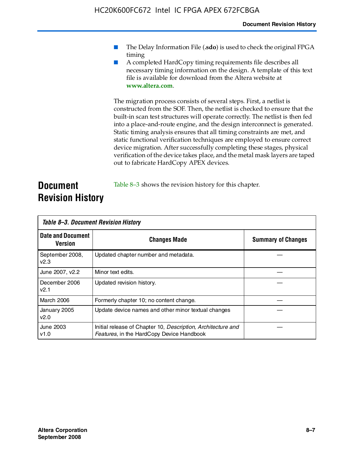- The Delay Information File (.sdo) is used to check the original FPGA timing
- A completed HardCopy timing requirements file describes all necessary timing information on the design. A template of this text file is available for download from the Altera website at **www.altera.com**.

The migration process consists of several steps. First, a netlist is constructed from the SOF. Then, the netlist is checked to ensure that the built-in scan test structures will operate correctly. The netlist is then fed into a place-and-route engine, and the design interconnect is generated. Static timing analysis ensures that all timing constraints are met, and static functional verification techniques are employed to ensure correct device migration. After successfully completing these stages, physical verification of the device takes place, and the metal mask layers are taped out to fabricate HardCopy APEX devices.

# **Document Revision History** Table 8–3 shows the revision history for this chapter.

| Table 8–3. Document Revision History |                                                                                                           |                           |  |  |
|--------------------------------------|-----------------------------------------------------------------------------------------------------------|---------------------------|--|--|
| <b>Date and Document</b><br>Version  | <b>Changes Made</b>                                                                                       | <b>Summary of Changes</b> |  |  |
| September 2008,<br>V <sub>2.3</sub>  | Updated chapter number and metadata.                                                                      |                           |  |  |
| June 2007, v2.2                      | Minor text edits.                                                                                         |                           |  |  |
| December 2006<br>v2.1                | Updated revision history.                                                                                 |                           |  |  |
| March 2006                           | Formerly chapter 10; no content change.                                                                   |                           |  |  |
| January 2005<br>v2.0                 | Update device names and other minor textual changes                                                       |                           |  |  |
| <b>June 2003</b><br>v1.0             | Initial release of Chapter 10, Description, Architecture and<br>Features, in the HardCopy Device Handbook |                           |  |  |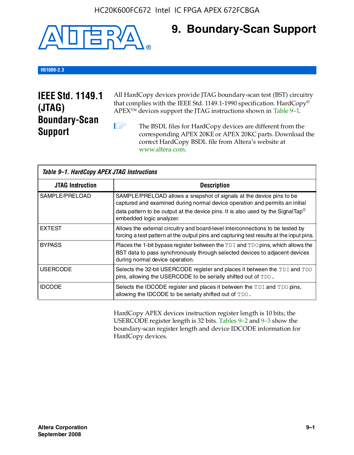

# **9. Boundary-Scan Support**

# **H51009-2.3**

# **IEEE Std. 1149.1 (JTAG) Boundary-Scan Support**

All HardCopy devices provide JTAG boundary-scan test (BST) circuitry that complies with the IEEE Std. 1149.1-1990 specification. HardCopy® APEX™ devices support the JTAG instructions shown in Table 9–1.

**1 The BSDL files for HardCopy devices are different from the** corresponding APEX 20KE or APEX 20KC parts. Download the [correct HardCopy BSDL file from Altera's website at](http://www.altera.com)  www.altera.com.

| Table 9-1. HardCopy APEX JTAG Instructions |                                                                                                                                                                                                                                                                                |  |  |  |
|--------------------------------------------|--------------------------------------------------------------------------------------------------------------------------------------------------------------------------------------------------------------------------------------------------------------------------------|--|--|--|
| <b>JTAG Instruction</b>                    | <b>Description</b>                                                                                                                                                                                                                                                             |  |  |  |
| SAMPLE/PRELOAD                             | SAMPLE/PRELOAD allows a snapshot of signals at the device pins to be<br>captured and examined during normal device operation and permits an initial<br>data pattern to be output at the device pins. It is also used by the SignalTap <sup>®</sup><br>embedded logic analyzer. |  |  |  |
| <b>EXTEST</b>                              | Allows the external circuitry and board-level interconnections to be tested by<br>forcing a test pattern at the output pins and capturing test results at the input pins.                                                                                                      |  |  |  |
| <b>BYPASS</b>                              | Places the 1-bit bypass register between the TDI and TDO pins, which allows the<br>BST data to pass synchronously through selected devices to adjacent devices<br>during normal device operation.                                                                              |  |  |  |
| <b>USERCODE</b>                            | Selects the 32-bit USERCODE register and places it between the TDI and TDO<br>pins, allowing the USERCODE to be serially shifted out of TDO.                                                                                                                                   |  |  |  |
| <b>IDCODE</b>                              | Selects the IDCODE register and places it between the TDI and TDO pins,<br>allowing the IDCODE to be serially shifted out of TDO.                                                                                                                                              |  |  |  |

HardCopy APEX devices instruction register length is 10 bits; the USERCODE register length is 32 bits. Tables 9–2 and 9–3 show the boundary-scan register length and device IDCODE information for HardCopy devices.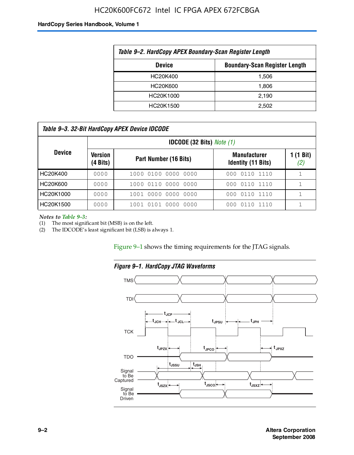# HC20K600FC672 Intel IC FPGA APEX 672FCBGA

#### **HardCopy Series Handbook, Volume 1**

| Table 9-2. HardCopy APEX Boundary-Scan Register Length |       |  |  |  |
|--------------------------------------------------------|-------|--|--|--|
| <b>Boundary-Scan Register Length</b><br><b>Device</b>  |       |  |  |  |
| HC20K400                                               | 1.506 |  |  |  |
| HC20K600                                               | 1.806 |  |  |  |
| HC20K1000                                              | 2,190 |  |  |  |
| HC20K1500                                              | 2.502 |  |  |  |

| Table 9–3. 32-Bit HardCopy APEX Device IDCODE |                               |                                    |                                                  |                  |  |
|-----------------------------------------------|-------------------------------|------------------------------------|--------------------------------------------------|------------------|--|
|                                               |                               | <b>IDCODE (32 Bits)</b> Note $(1)$ |                                                  |                  |  |
| <b>Device</b>                                 | Version<br>$(4 \text{ Bits})$ | Part Number (16 Bits)              | <b>Manufacturer</b><br><b>Identity (11 Bits)</b> | 1 (1 Bit)<br>(2) |  |
| HC20K400                                      | 0000                          | 1000 0100 0000 0000                | 000 0110 1110                                    |                  |  |
| HC20K600                                      | 0000                          | 1000 0110 0000 0000                | 000 0110 1110                                    |                  |  |
| HC20K1000                                     | 0000                          | 1001 0000 0000 0000                | 000 0110 1110                                    |                  |  |
| HC20K1500                                     | 0000                          | 1001 0101 0000 0000                | 0110 1110<br>000                                 |                  |  |

*Notes to Table 9–3:*

(1) The most significant bit (MSB) is on the left.

(2) The IDCODE's least significant bit (LSB) is always 1.

Figure 9–1 shows the timing requirements for the JTAG signals.



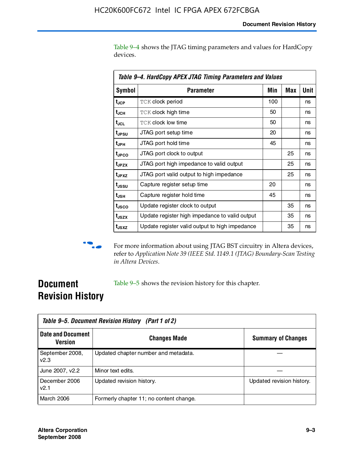Table 9–4 shows the JTAG timing parameters and values for HardCopy devices.

| Table 9–4. HardCopy APEX JTAG Timing Parameters and Values |                                                |     |     |             |  |
|------------------------------------------------------------|------------------------------------------------|-----|-----|-------------|--|
| <b>Symbol</b>                                              | <b>Parameter</b>                               | Min | Max | <b>Unit</b> |  |
| t <sub>JCP</sub>                                           | <b>TCK clock period</b>                        | 100 |     | ns          |  |
| t <sub>JCH</sub>                                           | <b>TCK clock high time</b>                     | 50  |     | ns          |  |
| tjcL                                                       | <b>TCK clock low time</b>                      | 50  |     | ns          |  |
| t <sub>JPSU</sub>                                          | JTAG port setup time                           | 20  |     | ns          |  |
| t <sub>JPH</sub>                                           | JTAG port hold time                            | 45  |     | ns          |  |
| t <sub>JPCO</sub>                                          | JTAG port clock to output                      |     | 25  | ns          |  |
| t <sub>JPZX</sub>                                          | JTAG port high impedance to valid output       |     | 25  | ns          |  |
| t <sub>JPXZ</sub>                                          | JTAG port valid output to high impedance       |     | 25  | ns          |  |
| t <sub>JSSU</sub>                                          | Capture register setup time                    | 20  |     | ns          |  |
| $t_{\rm JSH}$                                              | Capture register hold time                     | 45  |     | ns          |  |
| t <sub>usco</sub>                                          | Update register clock to output                |     | 35  | ns          |  |
| t <sub>JSZX</sub>                                          | Update register high impedance to valid output |     | 35  | ns          |  |
| t <sub>JSXZ</sub>                                          | Update register valid output to high impedance |     | 35  | ns          |  |



**f** For more information about using JTAG BST circuitry in Altera devices, refer to *Application Note 39 (IEEE Std. 1149.1 (JTAG) Boundary-Scan Testing in Altera Devices*.

# **Document Revision History**

Table 9–5 shows the revision history for this chapter.

|                                            | Table 9–5. Document Revision History (Part 1 of 2) |                           |  |  |  |
|--------------------------------------------|----------------------------------------------------|---------------------------|--|--|--|
| <b>Date and Document</b><br><b>Version</b> | <b>Changes Made</b>                                | <b>Summary of Changes</b> |  |  |  |
| September 2008,<br>V <sub>2.3</sub>        | Updated chapter number and metadata.               |                           |  |  |  |
| June 2007, v2.2                            | Minor text edits.                                  |                           |  |  |  |
| December 2006<br>v2.1                      | Updated revision history.                          | Updated revision history. |  |  |  |
| March 2006                                 | Formerly chapter 11; no content change.            |                           |  |  |  |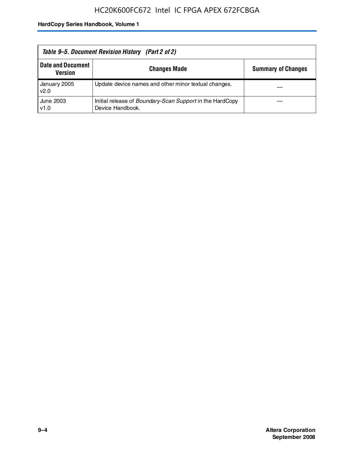| Table 9–5. Document Revision History (Part 2 of 2) |                                                                                     |                           |  |
|----------------------------------------------------|-------------------------------------------------------------------------------------|---------------------------|--|
| <b>Date and Document</b><br>Version                | <b>Changes Made</b>                                                                 | <b>Summary of Changes</b> |  |
| January 2005<br>v2.0                               | Update device names and other minor textual changes.                                |                           |  |
| June 2003<br>v1.0                                  | Initial release of <i>Boundary-Scan Support</i> in the HardCopy<br>Device Handbook. |                           |  |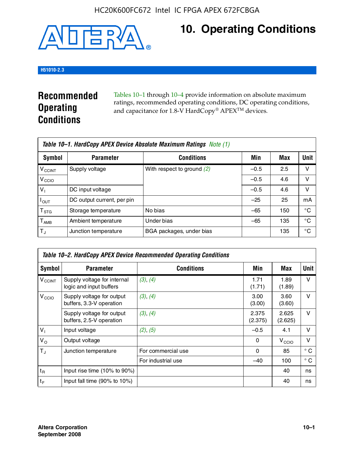

# **10. Operating Conditions**

# **H51010-2.3**

# **Recommended Operating Conditions**

Tables 10–1 through 10–4 provide information on absolute maximum ratings, recommended operating conditions, DC operating conditions, and capacitance for 1.8-V HardCopy® APEX<sup>TM</sup> devices.

|                           | Table 10–1. HardCopy APEX Device Absolute Maximum Ratings Note (1) |                              |        |     |      |  |
|---------------------------|--------------------------------------------------------------------|------------------------------|--------|-----|------|--|
| Symbol                    | <b>Parameter</b>                                                   | <b>Conditions</b>            | Min    | Max | Unit |  |
| <b>V<sub>CCINT</sub></b>  | Supply voltage                                                     | With respect to ground $(2)$ | $-0.5$ | 2.5 | v    |  |
| V <sub>CCIO</sub>         |                                                                    |                              | $-0.5$ | 4.6 | ν    |  |
| $V_1$                     | DC input voltage                                                   |                              | $-0.5$ | 4.6 | v    |  |
| $I_{OUT}$                 | DC output current, per pin                                         |                              | $-25$  | 25  | mA   |  |
| $\mathsf{T}_{\text{STG}}$ | Storage temperature                                                | No bias                      | $-65$  | 150 | °€   |  |
| $T_{\sf AMB}$             | Ambient temperature                                                | Under bias                   | $-65$  | 135 | °C   |  |
| $T_{J}$                   | Junction temperature                                               | BGA packages, under bias     |        | 135 | °C   |  |

| Table 10–2. HardCopy APEX Device Recommended Operating Conditions |                                                        |                    |                  |                   |              |  |  |
|-------------------------------------------------------------------|--------------------------------------------------------|--------------------|------------------|-------------------|--------------|--|--|
| Symbol                                                            | <b>Parameter</b>                                       | <b>Conditions</b>  | Min              | Max               | Unit         |  |  |
| $V_{\text{CCINT}}$                                                | Supply voltage for internal<br>logic and input buffers | (3), (4)           | 1.71<br>(1.71)   | 1.89<br>(1.89)    | $\vee$       |  |  |
| V <sub>CCIO</sub>                                                 | Supply voltage for output<br>buffers, 3.3-V operation  | (3), (4)           | 3.00<br>(3.00)   | 3.60<br>(3.60)    | $\vee$       |  |  |
|                                                                   | Supply voltage for output<br>buffers, 2.5-V operation  | (3), (4)           | 2.375<br>(2.375) | 2.625<br>(2.625)  | $\vee$       |  |  |
| $V_1$                                                             | Input voltage                                          | (2), (5)           | $-0.5$           | 4.1               | $\vee$       |  |  |
| $V_{\rm O}$                                                       | Output voltage                                         |                    | 0                | V <sub>CCIO</sub> | $\vee$       |  |  |
| $T_{\rm J}$                                                       | Junction temperature                                   | For commercial use | 0                | 85                | $^{\circ}$ C |  |  |
|                                                                   |                                                        | For industrial use | $-40$            | 100               | $^{\circ}$ C |  |  |
| $t_{R}$                                                           | Input rise time (10% to 90%)                           |                    |                  | 40                | ns           |  |  |
| $t_F$                                                             | Input fall time $(90\% \text{ to } 10\%)$              |                    |                  | 40                | ns           |  |  |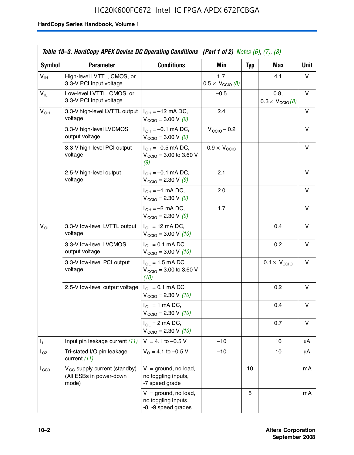# HC20K600FC672 Intel IC FPGA APEX 672FCBGA

|                 | Table 10–3. HardCopy APEX Device DC Operating Conditions (Part 1 of 2) Notes $(6)$ , $(7)$ , $(8)$ |                                                                        |                                          |            |                                         |             |  |
|-----------------|----------------------------------------------------------------------------------------------------|------------------------------------------------------------------------|------------------------------------------|------------|-----------------------------------------|-------------|--|
| Symbol          | <b>Parameter</b>                                                                                   | <b>Conditions</b>                                                      | <b>Min</b>                               | <b>Typ</b> | Max                                     | <b>Unit</b> |  |
| $V_{\text{IH}}$ | High-level LVTTL, CMOS, or<br>3.3-V PCI input voltage                                              |                                                                        | 1.7,<br>$0.5 \times V_{\text{CCIO}}$ (8) |            | 4.1                                     | v           |  |
| $V_{IL}$        | Low-level LVTTL, CMOS, or<br>3.3-V PCI input voltage                                               |                                                                        | $-0.5$                                   |            | 0.8,<br>$0.3 \times V_{\text{CCIO}}(8)$ | v           |  |
| $V_{OH}$        | 3.3-V high-level LVTTL output<br>voltage                                                           | $I_{OH} = -12$ mA DC,<br>$V_{\text{CCIO}} = 3.00 \text{ V} (9)$        | 2.4                                      |            |                                         | v           |  |
|                 | 3.3-V high-level LVCMOS<br>output voltage                                                          | $I_{OH} = -0.1$ mA DC,<br>$V_{\text{CCIO}} = 3.00 \text{ V} (9)$       | $V_{\text{CCIO}} - 0.2$                  |            |                                         | v           |  |
|                 | 3.3-V high-level PCI output<br>voltage                                                             | $I_{OH} = -0.5$ mA DC,<br>$V_{\text{CCIO}} = 3.00$ to 3.60 V<br>(9)    | $0.9 \times V_{\text{CCIO}}$             |            |                                         | v           |  |
|                 | 2.5-V high-level output<br>voltage                                                                 | $I_{OH} = -0.1$ mA DC,<br>$V_{\text{CCIO}} = 2.30 \text{ V } (9)$      | 2.1                                      |            |                                         | v           |  |
|                 |                                                                                                    | $I_{OH} = -1$ mA DC,<br>$V_{\text{CCIO}} = 2.30 \text{ V} (9)$         | 2.0                                      |            |                                         | v           |  |
|                 |                                                                                                    | $I_{OH} = -2$ mA DC,<br>$V_{\text{CCIO}} = 2.30 \text{ V} (9)$         | 1.7                                      |            |                                         | v           |  |
| $V_{OL}$        | 3.3-V low-level LVTTL output<br>voltage                                                            | $I_{OL}$ = 12 mA DC,<br>$V_{\text{CCIO}} = 3.00 \text{ V} (10)$        |                                          |            | 0.4                                     | v           |  |
|                 | 3.3-V low-level LVCMOS<br>output voltage                                                           | $I_{OL} = 0.1$ mA DC,<br>$V_{\text{CCIO}} = 3.00 \text{ V} (10)$       |                                          |            | 0.2                                     | v           |  |
|                 | 3.3-V low-level PCI output<br>voltage                                                              | $I_{OL}$ = 1.5 mA DC,<br>$V_{\text{CCIO}} = 3.00$ to 3.60 V<br>(10)    |                                          |            | $0.1 \times V_{\text{CCIO}}$            | v           |  |
|                 | 2.5-V low-level output voltage                                                                     | $I_{OL} = 0.1$ mA DC,<br>$V_{\text{CCIO}} = 2.30 \text{ V} (10)$       |                                          |            | 0.2                                     | v           |  |
|                 |                                                                                                    | $I_{OL}$ = 1 mA DC,<br>$V_{\text{CCIO}} = 2.30 \text{ V} (10)$         |                                          |            | 0.4                                     | v           |  |
|                 |                                                                                                    | $I_{OL}$ = 2 mA DC,<br>$V_{\text{CCIO}} = 2.30 V (10)$                 |                                          |            | 0.7                                     | v           |  |
| Τ,              | Input pin leakage current (11)                                                                     | $V_1 = 4.1$ to -0.5 V                                                  | $-10$                                    |            | 10                                      | μA          |  |
| $I_{OZ}$        | Tri-stated I/O pin leakage<br>current (11)                                                         | $V_0 = 4.1$ to $-0.5$ V                                                | $-10$                                    |            | 10                                      | μA          |  |
| $I_{CC0}$       | V <sub>CC</sub> supply current (standby)<br>(All ESBs in power-down<br>mode)                       | $V_1$ = ground, no load,<br>no toggling inputs,<br>-7 speed grade      |                                          | 10         |                                         | mA          |  |
|                 |                                                                                                    | $V_1$ = ground, no load,<br>no toggling inputs,<br>-8, -9 speed grades |                                          | 5          |                                         | mA          |  |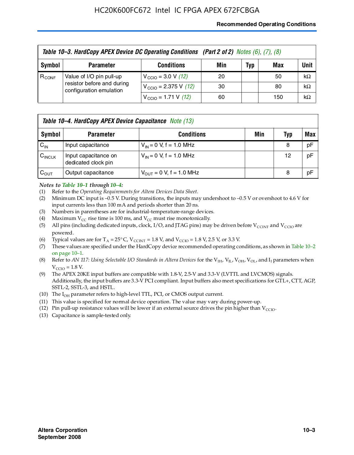## **Recommended Operating Conditions**

|            | Table 10-3. HardCopy APEX Device DC Operating Conditions (Part 2 of 2) Notes (6), (7), (8) |                                          |     |     |     |           |  |  |
|------------|--------------------------------------------------------------------------------------------|------------------------------------------|-----|-----|-----|-----------|--|--|
| Symbol     | <b>Parameter</b>                                                                           | <b>Conditions</b>                        | Min | Typ | Max | Unit      |  |  |
| $R_{CONF}$ | Value of I/O pin pull-up                                                                   | $V_{\text{CCIO}} = 3.0 \text{ V} (12)$   | 20  |     | 50  | $k\Omega$ |  |  |
|            | resistor before and during<br>configuration emulation                                      | $V_{\text{CCIO}} = 2.375 \text{ V}$ (12) | 30  |     | 80  | $k\Omega$ |  |  |
|            |                                                                                            | $V_{\text{CCIO}} = 1.71 \text{ V}$ (12)  | 60  |     | 150 | $k\Omega$ |  |  |

|                    | <b>Table 10–4. HardCopy APEX Device Capacitance</b> Note (13) |                              |     |     |     |  |
|--------------------|---------------------------------------------------------------|------------------------------|-----|-----|-----|--|
| Symbol             | <b>Parameter</b>                                              | <b>Conditions</b>            | Min | Typ | Max |  |
| $C_{\text{IN}}$    | Input capacitance                                             | $V_{IN} = 0$ V, f = 1.0 MHz  |     | 8   | pF  |  |
| $C_{\text{INCLK}}$ | Input capacitance on<br>dedicated clock pin                   | $V_{IN} = 0$ V, f = 1.0 MHz  |     | 12  | pF  |  |
| $C_{\text{OUT}}$   | Output capacitance                                            | $V_{OUT} = 0$ V, f = 1.0 MHz |     | 8   | pF  |  |

### *Notes to Table 10–1 through 10–4:*

- (1) Refer to the *Operating Requirements for Altera Devices Data Sheet*.
- (2) Minimum DC input is –0.5 V. During transitions, the inputs may undershoot to –0.5 V or overshoot to 4.6 V for input currents less than 100 mA and periods shorter than 20 ns.
- (3) Numbers in parentheses are for industrial-temperature-range devices.
- (4) Maximum  $V_{CC}$  rise time is 100 ms, and  $V_{CC}$  must rise monotonically.
- (5) All pins (including dedicated inputs, clock, I/O, and JTAG pins) may be driven before  $V_{\text{CCINT}}$  and  $V_{\text{CCIO}}$  are powered.
- (6) Typical values are for  $T_A = 25^{\circ}$  C,  $V_{CCTNT} = 1.8$  V, and  $V_{CCTO} = 1.8$  V, 2.5 V, or 3.3 V.
- (7) These values are specified under the HardCopy device recommended operating conditions, as shown in Table 10–2 on page 10–1.
- (8) Refer to *AN 117: Using Selectable I/O Standards in Altera Devices* for the V<sub>IH</sub>, V<sub>IL</sub>, V<sub>OH</sub>, V<sub>OL</sub>, and I<sub>I</sub> parameters when  $V_{\text{CCIO}} = 1.8 \text{ V}$ .
- (9) The APEX 20KE input buffers are compatible with 1.8-V, 2.5-V and 3.3-V (LVTTL and LVCMOS) signals. Additionally, the input buffers are 3.3-V PCI compliant. Input buffers also meet specifications for GTL+, CTT, AGP, SSTL-2, SSTL-3, and HSTL.
- (10) The  $I_{OH}$  parameter refers to high-level TTL, PCI, or CMOS output current.
- (11) This value is specified for normal device operation. The value may vary during power-up.
- (12) Pin pull-up resistance values will be lower if an external source drives the pin higher than  $V_{CCIO}$ .
- (13) Capacitance is sample-tested only.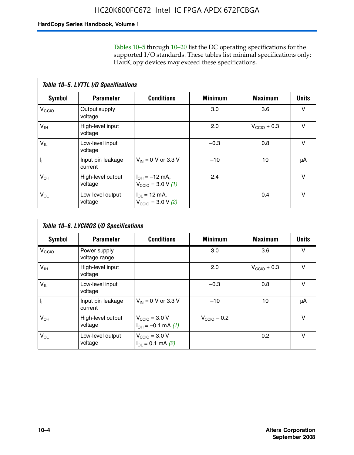Tables 10–5 through 10–20 list the DC operating specifications for the supported I/O standards. These tables list minimal specifications only; HardCopy devices may exceed these specifications.

|                           | Table 10-5. LVTTL I/O Specifications |                                                                 |                |                         |              |  |  |  |  |
|---------------------------|--------------------------------------|-----------------------------------------------------------------|----------------|-------------------------|--------------|--|--|--|--|
| Symbol                    | <b>Parameter</b>                     | <b>Conditions</b>                                               | <b>Minimum</b> | <b>Maximum</b>          | <b>Units</b> |  |  |  |  |
| $V_{\text{CCIO}}$         | Output supply<br>voltage             |                                                                 | 3.0            | 3.6                     | $\vee$       |  |  |  |  |
| $V_{\text{IH}}$           | High-level input<br>voltage          |                                                                 | 2.0            | $V_{\text{CCIO}} + 0.3$ | $\vee$       |  |  |  |  |
| $V_{IL}$                  | Low-level input<br>voltage           |                                                                 | $-0.3$         | 0.8                     | v            |  |  |  |  |
| $\mathsf{I}_{\mathsf{I}}$ | Input pin leakage<br>current         | $V_{IN} = 0$ V or 3.3 V                                         | $-10$          | 10                      | μA           |  |  |  |  |
| $V_{OH}$                  | High-level output<br>voltage         | $I_{OH} = -12$ mA,<br>$V_{\text{CCIO}} = 3.0 V(1)$              | 2.4            |                         | v            |  |  |  |  |
| $V_{OL}$                  | Low-level output<br>voltage          | $I_{\Omega I} = 12 \text{ mA}$<br>$V_{\text{CCIO}} = 3.0 V (2)$ |                | 0.4                     | $\vee$       |  |  |  |  |

|                   | Table 10-6. LVCMOS I/O Specifications |                                                           |                         |                         |              |  |  |  |  |
|-------------------|---------------------------------------|-----------------------------------------------------------|-------------------------|-------------------------|--------------|--|--|--|--|
| <b>Symbol</b>     | <b>Parameter</b>                      | <b>Conditions</b>                                         | <b>Minimum</b>          | <b>Maximum</b>          | <b>Units</b> |  |  |  |  |
| V <sub>CCIO</sub> | Power supply<br>voltage range         |                                                           | 3.0                     | 3.6                     | v            |  |  |  |  |
| $V_{\text{IH}}$   | High-level input<br>voltage           |                                                           | 2.0                     | $V_{\text{CCIO}} + 0.3$ | $\vee$       |  |  |  |  |
| $V_{IL}$          | Low-level input<br>voltage            |                                                           | $-0.3$                  | 0.8                     | $\vee$       |  |  |  |  |
| H,                | Input pin leakage<br>current          | $V_{IN} = 0$ V or 3.3 V                                   | $-10$                   | 10                      | μA           |  |  |  |  |
| $V_{OH}$          | High-level output<br>voltage          | $V_{\text{CCIO}} = 3.0 V$<br>$I_{OH} = -0.1$ mA $(1)$     | $V_{\text{CCIO}} - 0.2$ |                         | $\vee$       |  |  |  |  |
| $V_{OL}$          | Low-level output<br>voltage           | $V_{\text{CCIO}} = 3.0 V$<br>$I_{\text{OL}} = 0.1$ mA (2) |                         | 0.2                     | $\vee$       |  |  |  |  |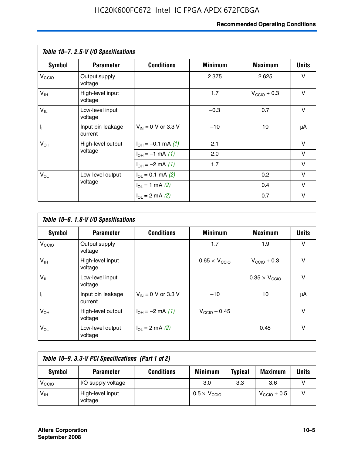# **Recommended Operating Conditions**

|                         | Table 10-7. 2.5-V I/O Specifications |                           |                |                         |              |
|-------------------------|--------------------------------------|---------------------------|----------------|-------------------------|--------------|
| <b>Symbol</b>           | <b>Parameter</b>                     | <b>Conditions</b>         | <b>Minimum</b> | <b>Maximum</b>          | <b>Units</b> |
| V <sub>CIO</sub>        | Output supply<br>voltage             |                           | 2.375          | 2.625                   | v            |
| $V_{\text{IH}}$         | High-level input<br>voltage          |                           | 1.7            | $V_{\text{CCIO}} + 0.3$ | $\vee$       |
| $V_{IL}$                | Low-level input<br>voltage           |                           | $-0.3$         | 0.7                     | $\vee$       |
| $\mathsf{I}_\mathrm{I}$ | Input pin leakage<br>current         | $V_{IN}$ = 0 V or 3.3 V   | $-10$          | 10                      | μA           |
| $V_{OH}$                | High-level output                    | $I_{OH} = -0.1$ mA $(1)$  | 2.1            |                         | V            |
|                         | voltage                              | $I_{OH} = -1$ mA (1)      | 2.0            |                         | $\vee$       |
|                         |                                      | $I_{OH} = -2$ mA (1)      | 1.7            |                         | v            |
| $V_{OL}$                | Low-level output                     | $I_{\Omega}$ = 0.1 mA (2) |                | 0.2                     | v            |
|                         | voltage                              | $I_{OL} = 1$ mA (2)       |                | 0.4                     | v            |
|                         |                                      | $I_{OL} = 2$ mA (2)       |                | 0.7                     | v            |

|                   | Table 10-8. 1.8-V I/O Specifications |                         |                               |                               |              |  |  |  |  |
|-------------------|--------------------------------------|-------------------------|-------------------------------|-------------------------------|--------------|--|--|--|--|
| Symbol            | <b>Parameter</b>                     | <b>Conditions</b>       | <b>Minimum</b>                | <b>Maximum</b>                | <b>Units</b> |  |  |  |  |
| $V_{\text{CCIO}}$ | Output supply<br>voltage             |                         | 1.7                           | 1.9                           | $\vee$       |  |  |  |  |
| $V_{\text{IH}}$   | High-level input<br>voltage          |                         | $0.65 \times V_{\text{CCIO}}$ | $V_{\text{CCIO}} + 0.3$       | v            |  |  |  |  |
| $V_{IL}$          | Low-level input<br>voltage           |                         |                               | $0.35 \times V_{\text{CCIO}}$ | $\vee$       |  |  |  |  |
| $\mathbf{l}_{1}$  | Input pin leakage<br>current         | $V_{IN} = 0$ V or 3.3 V | $-10$                         | 10                            | μA           |  |  |  |  |
| $V_{OH}$          | High-level output<br>voltage         | $I_{OH} = -2$ mA (1)    | $V_{\text{CCIO}} - 0.45$      |                               | v            |  |  |  |  |
| $V_{OL}$          | Low-level output<br>voltage          | $I_{\Omega}$ = 2 mA (2) |                               | 0.45                          | $\vee$       |  |  |  |  |

| Table 10-9. 3.3-V PCI Specifications (Part 1 of 2) |                             |                   |                              |                |                         |       |
|----------------------------------------------------|-----------------------------|-------------------|------------------------------|----------------|-------------------------|-------|
| Symbol                                             | <b>Parameter</b>            | <b>Conditions</b> | <b>Minimum</b>               | <b>Typical</b> | <b>Maximum</b>          | Units |
| V <sub>CIO</sub>                                   | I/O supply voltage          |                   | 3.0                          | 3.3            | 3.6                     |       |
| $V_{\text{IH}}$                                    | High-level input<br>voltage |                   | $0.5 \times V_{\text{CCIO}}$ |                | $V_{\text{CCIO}} + 0.5$ |       |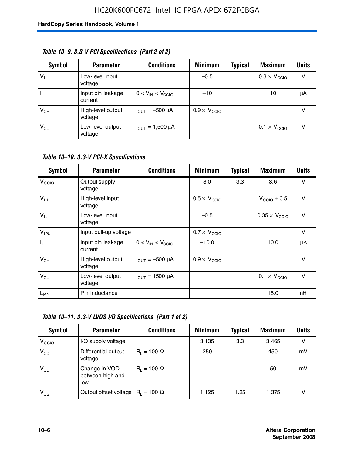# HC20K600FC672 Intel IC FPGA APEX 672FCBGA

| Table 10–9. 3.3-V PCI Specifications (Part 2 of 2) |                              |                                        |                              |         |                              |              |  |
|----------------------------------------------------|------------------------------|----------------------------------------|------------------------------|---------|------------------------------|--------------|--|
| Symbol                                             | <b>Parameter</b>             | <b>Conditions</b>                      | <b>Minimum</b>               | Typical | <b>Maximum</b>               | <b>Units</b> |  |
| $V_{IL}$                                           | Low-level input<br>voltage   |                                        | $-0.5$                       |         | $0.3 \times V_{\text{CCIO}}$ | v            |  |
|                                                    | Input pin leakage<br>current | $0 < V_{IN} < V_{CCIO}$                | $-10$                        |         | 10                           | μA           |  |
| $V_{OH}$                                           | High-level output<br>voltage | $I_{\text{OUT}} = -500 \mu A$          | $0.9 \times V_{\text{CCIO}}$ |         |                              | v            |  |
| $V_{OL}$                                           | Low-level output<br>voltage  | $I_{\text{OUT}} = 1,500 \,\mu\text{A}$ |                              |         | $0.1 \times V_{\text{CCIO}}$ | v            |  |

| Table 10-10. 3.3-V PCI-X Specifications |                              |                               |                              |                |                               |              |  |
|-----------------------------------------|------------------------------|-------------------------------|------------------------------|----------------|-------------------------------|--------------|--|
| <b>Symbol</b>                           | <b>Parameter</b>             | <b>Conditions</b>             | <b>Minimum</b>               | <b>Typical</b> | <b>Maximum</b>                | <b>Units</b> |  |
| V <sub>CCIO</sub>                       | Output supply<br>voltage     |                               | 3.0                          | 3.3            | 3.6                           | v            |  |
| V <sub>IH</sub>                         | High-level input<br>voltage  |                               | $0.5 \times V_{\text{CCIO}}$ |                | $V_{\text{CCIO}} + 0.5$       | $\vee$       |  |
| $V_{IL}$                                | Low-level input<br>voltage   |                               | $-0.5$                       |                | $0.35 \times V_{\text{CCIO}}$ | $\vee$       |  |
| $V_{IPU}$                               | Input pull-up voltage        |                               | $0.7 \times V_{\text{CCIO}}$ |                |                               | $\vee$       |  |
| $I_{\rm IL}$                            | Input pin leakage<br>current | $0 < V_{IN} < V_{CGIO}$       | $-10.0$                      |                | 10.0                          | μA           |  |
| $V_{OH}$                                | High-level output<br>voltage | $I_{\text{OUT}} = -500 \mu A$ | $0.9 \times V_{\text{CCIO}}$ |                |                               | $\vee$       |  |
| $V_{OL}$                                | Low-level output<br>voltage  | $I_{\text{OUT}} = 1500 \mu A$ |                              |                | $0.1 \times V_{\text{CCIO}}$  | $\vee$       |  |
| L <sub>PIN</sub>                        | Pin Inductance               |                               |                              |                | 15.0                          | nH           |  |

| Table 10-11. 3.3-V LVDS I/O Specifications (Part 1 of 2) |                                           |                    |                |                |                |              |  |
|----------------------------------------------------------|-------------------------------------------|--------------------|----------------|----------------|----------------|--------------|--|
| Symbol                                                   | <b>Parameter</b>                          | <b>Conditions</b>  | <b>Minimum</b> | <b>Typical</b> | <b>Maximum</b> | <b>Units</b> |  |
| V <sub>CIO</sub>                                         | I/O supply voltage                        |                    | 3.135          | 3.3            | 3.465          | v            |  |
| $V_{OD}$                                                 | Differential output<br>voltage            | $R_1 = 100 \Omega$ | 250            |                | 450            | mV           |  |
| $V_{OD}$                                                 | Change in VOD<br>between high and<br>low  | $R_1 = 100 \Omega$ |                |                | 50             | mV           |  |
| $V_{OS}$                                                 | Output offset voltage $ R_1 = 100 \Omega$ |                    | 1.125          | 1.25           | 1.375          |              |  |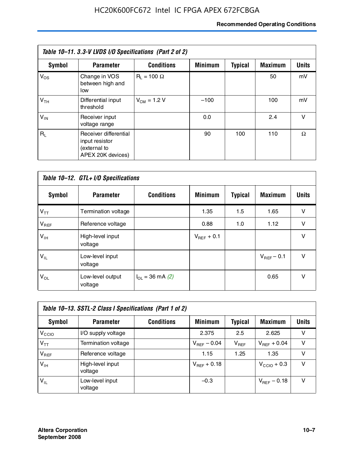# **Recommended Operating Conditions**

| Table 10–11. 3.3-V LVDS I/O Specifications (Part 2 of 2) |                                                                              |                    |                |                |                |              |
|----------------------------------------------------------|------------------------------------------------------------------------------|--------------------|----------------|----------------|----------------|--------------|
| Symbol                                                   | <b>Parameter</b>                                                             | <b>Conditions</b>  | <b>Minimum</b> | <b>Typical</b> | <b>Maximum</b> | <b>Units</b> |
| $V_{OS}$                                                 | Change in VOS<br>between high and<br>low                                     | $R_1 = 100 \Omega$ |                |                | 50             | mV           |
| V <sub>TH</sub>                                          | Differential input<br>threshold                                              | $V_{CM} = 1.2 V$   | $-100$         |                | 100            | mV           |
| $V_{IN}$                                                 | Receiver input<br>voltage range                                              |                    | 0.0            |                | 2.4            | v            |
| $R_{\perp}$                                              | Receiver differential<br>input resistor<br>(external to<br>APEX 20K devices) |                    | 90             | 100            | 110            | Ω            |

| Table 10-12. GTL+ I/O Specifications |                             |                          |                 |                |                 |              |  |
|--------------------------------------|-----------------------------|--------------------------|-----------------|----------------|-----------------|--------------|--|
| <b>Symbol</b>                        | <b>Parameter</b>            | <b>Conditions</b>        | <b>Minimum</b>  | <b>Typical</b> | <b>Maximum</b>  | <b>Units</b> |  |
| $V_{TT}$                             | Termination voltage         |                          | 1.35            | 1.5            | 1.65            | v            |  |
| $V_{BEF}$                            | Reference voltage           |                          | 0.88            | 1.0            | 1.12            | v            |  |
| $V_{IH}$                             | High-level input<br>voltage |                          | $V_{BFF}$ + 0.1 |                |                 | $\vee$       |  |
| $V_{IL}$                             | Low-level input<br>voltage  |                          |                 |                | $V_{BFF}$ – 0.1 | $\vee$       |  |
| $V_{OL}$                             | Low-level output<br>voltage | $I_{\Omega}$ = 36 mA (2) |                 |                | 0.65            | v            |  |

| Table 10–13. SSTL-2 Class I Specifications (Part 1 of 2) |                             |                   |                  |           |                         |              |  |
|----------------------------------------------------------|-----------------------------|-------------------|------------------|-----------|-------------------------|--------------|--|
| Symbol                                                   | <b>Parameter</b>            | <b>Conditions</b> | <b>Minimum</b>   | Typical   | <b>Maximum</b>          | <b>Units</b> |  |
| V <sub>CCIO</sub>                                        | I/O supply voltage          |                   | 2.375            | 2.5       | 2.625                   | v            |  |
| $V_{TT}$                                                 | Termination voltage         |                   | $V_{REF}$ – 0.04 | $V_{REF}$ | $V_{REF}$ + 0.04        | v            |  |
| $V_{BEF}$                                                | Reference voltage           |                   | 1.15             | 1.25      | 1.35                    | v            |  |
| $V_{IH}$                                                 | High-level input<br>voltage |                   | $V_{REF}$ + 0.18 |           | $V_{\text{CCIO}} + 0.3$ | v            |  |
| $'V_{IL}$                                                | Low-level input<br>voltage  |                   | $-0.3$           |           | $V_{BFE}$ – 0.18        | v            |  |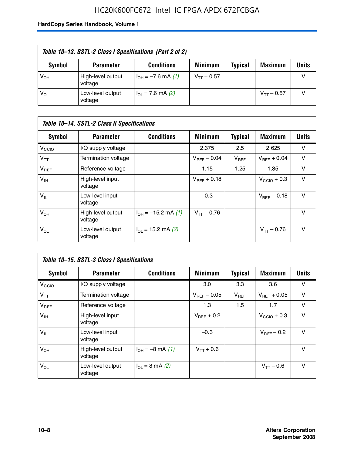# HC20K600FC672 Intel IC FPGA APEX 672FCBGA

| Table 10–13. SSTL-2 Class I Specifications (Part 2 of 2) |                              |                           |                 |                |                 |              |
|----------------------------------------------------------|------------------------------|---------------------------|-----------------|----------------|-----------------|--------------|
| Symbol                                                   | <b>Parameter</b>             | <b>Conditions</b>         | <b>Minimum</b>  | <b>Typical</b> | <b>Maximum</b>  | <b>Units</b> |
| $V_{OH}$                                                 | High-level output<br>voltage | $I_{OH} = -7.6$ mA (1)    | $V_{TT}$ + 0.57 |                |                 |              |
| $V_{OL}$                                                 | Low-level output<br>voltage  | $I_{\Omega}$ = 7.6 mA (2) |                 |                | $V_{TT}$ – 0.57 |              |

| Table 10–14. SSTL-2 Class II Specifications |                              |                                       |                  |                |                  |        |  |
|---------------------------------------------|------------------------------|---------------------------------------|------------------|----------------|------------------|--------|--|
| <b>Symbol</b>                               | <b>Parameter</b>             | <b>Conditions</b>                     | <b>Minimum</b>   | <b>Typical</b> | Maximum          | Units  |  |
| V <sub>CCIO</sub>                           | I/O supply voltage           |                                       | 2.375            | 2.5            | 2.625            | v      |  |
| $V_{TT}$                                    | Termination voltage          |                                       | $V_{BFF}$ – 0.04 | $V_{REF}$      | $V_{BFF}$ + 0.04 | v      |  |
| $V_{REF}$                                   | Reference voltage            |                                       | 1.15             | 1.25           | 1.35             | $\vee$ |  |
| $V_{IH}$                                    | High-level input<br>voltage  |                                       | $V_{BFF}$ + 0.18 |                | $V_{CCD}$ + 0.3  | v      |  |
| $V_{IL}$                                    | Low-level input<br>voltage   |                                       | $-0.3$           |                | $V_{BFF}$ – 0.18 | v      |  |
| $V_{OH}$                                    | High-level output<br>voltage | $I_{OH} = -15.2$ mA (1)               | $V_{TT}$ + 0.76  |                |                  | v      |  |
| $V_{OL}$                                    | Low-level output<br>voltage  | $I_{\text{O1}} = 15.2 \text{ mA} (2)$ |                  |                | $V_{TT} - 0.76$  | $\vee$ |  |

| Table 10–15. SSTL-3 Class I Specifications |                              |                                 |                         |                |                         |              |  |
|--------------------------------------------|------------------------------|---------------------------------|-------------------------|----------------|-------------------------|--------------|--|
| <b>Symbol</b>                              | <b>Parameter</b>             | <b>Conditions</b>               | <b>Minimum</b>          | <b>Typical</b> | <b>Maximum</b>          | <b>Units</b> |  |
| V <sub>CCIO</sub>                          | I/O supply voltage           |                                 | 3.0                     | 3.3            | 3.6                     | v            |  |
| $V_{TT}$                                   | Termination voltage          |                                 | $V_{\text{BFF}}$ – 0.05 | $V_{REF}$      | $V_{BFF}$ + 0.05        | v            |  |
| $V_{REF}$                                  | Reference voltage            |                                 | 1.3                     | 1.5            | 1.7                     | v            |  |
| $V_{\text{IH}}$                            | High-level input<br>voltage  |                                 | $V_{BFF}$ + 0.2         |                | $V_{\text{CCIO}} + 0.3$ | v            |  |
| $V_{IL}$                                   | Low-level input<br>voltage   |                                 | $-0.3$                  |                | $V_{BFF}$ – 0.2         | v            |  |
| $V_{OH}$                                   | High-level output<br>voltage | $I_{OH} = -8$ mA (1)            | $V_{TT} + 0.6$          |                |                         | $\vee$       |  |
| $V_{OL}$                                   | Low-level output<br>voltage  | $I_{\Omega} = 8 \text{ mA} (2)$ |                         |                | $V_{TT} - 0.6$          | v            |  |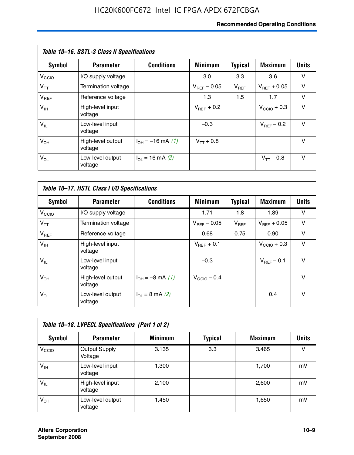# **Recommended Operating Conditions**

| Table 10–16. SSTL-3 Class II Specifications |                              |                             |                         |                |                        |              |  |
|---------------------------------------------|------------------------------|-----------------------------|-------------------------|----------------|------------------------|--------------|--|
| Symbol                                      | <b>Parameter</b>             | <b>Conditions</b>           | <b>Minimum</b>          | <b>Typical</b> | <b>Maximum</b>         | <b>Units</b> |  |
| $V_{\rm CCIO}$                              | I/O supply voltage           |                             | 3.0                     | 3.3            | 3.6                    | v            |  |
| $V_{TT}$                                    | Termination voltage          |                             | $V_{\text{BFF}}$ – 0.05 | $V_{REF}$      | $V_{BFF}$ + 0.05       | v            |  |
| $V_{REF}$                                   | Reference voltage            |                             | 1.3                     | 1.5            | 1.7                    | v            |  |
| $V_{IH}$                                    | High-level input<br>voltage  |                             | $V_{\text{BFF}} + 0.2$  |                | $V_{CCD}$ + 0.3        | v            |  |
| $V_{IL}$                                    | Low-level input<br>voltage   |                             | $-0.3$                  |                | $V_{\text{BFF}}$ – 0.2 | $\vee$       |  |
| $V_{OH}$                                    | High-level output<br>voltage | $I_{OH} = -16$ mA (1)       | $V_{TT}$ + 0.8          |                |                        | v            |  |
| $V_{OL}$                                    | Low-level output<br>voltage  | $I_{\text{OL}}$ = 16 mA (2) |                         |                | $V_{TT} - 0.8$         | v            |  |

| Table 10-17. HSTL Class I I/O Specifications |                              |                             |                         |                |                  |              |  |
|----------------------------------------------|------------------------------|-----------------------------|-------------------------|----------------|------------------|--------------|--|
| Symbol                                       | <b>Parameter</b>             | <b>Conditions</b>           | <b>Minimum</b>          | <b>Typical</b> | <b>Maximum</b>   | <b>Units</b> |  |
| $V_{\rm CCIO}$                               | I/O supply voltage           |                             | 1.71                    | 1.8            | 1.89             | v            |  |
| $V_{TT}$                                     | Termination voltage          |                             | $V_{\text{BFF}}$ – 0.05 | $V_{REF}$      | $V_{BFF}$ + 0.05 | v            |  |
| $V_{REF}$                                    | Reference voltage            |                             | 0.68                    | 0.75           | 0.90             | $\vee$       |  |
| $V_{\text{IH}}$                              | High-level input<br>voltage  |                             | $V_{BFF}$ + 0.1         |                | $V_{CClO}$ + 0.3 | v            |  |
| $V_{IL}$                                     | Low-level input<br>voltage   |                             | $-0.3$                  |                | $V_{BFF}$ – 0.1  | $\vee$       |  |
| $V_{OH}$                                     | High-level output<br>voltage | $I_{OH} = -8$ mA (1)        | $V_{\text{CCIO}} - 0.4$ |                |                  | $\vee$       |  |
| $V_{OL}$                                     | Low-level output<br>voltage  | $I_{OL} = 8 \text{ mA} (2)$ |                         |                | 0.4              | $\vee$       |  |

| Table 10-18. LVPECL Specifications (Part 1 of 2) |                                 |                |         |                |              |  |  |
|--------------------------------------------------|---------------------------------|----------------|---------|----------------|--------------|--|--|
| Symbol                                           | <b>Parameter</b>                | <b>Minimum</b> | Typical | <b>Maximum</b> | <b>Units</b> |  |  |
| V <sub>CCIO</sub>                                | <b>Output Supply</b><br>Voltage | 3.135          | 3.3     | 3.465          | v            |  |  |
| $V_{IH}$                                         | Low-level input<br>voltage      | 1,300          |         | 1,700          | mV           |  |  |
| $V_{IL}$                                         | High-level input<br>voltage     | 2.100          |         | 2,600          | mV           |  |  |
| $V_{OH}$                                         | Low-level output<br>voltage     | 1,450          |         | 1,650          | mV           |  |  |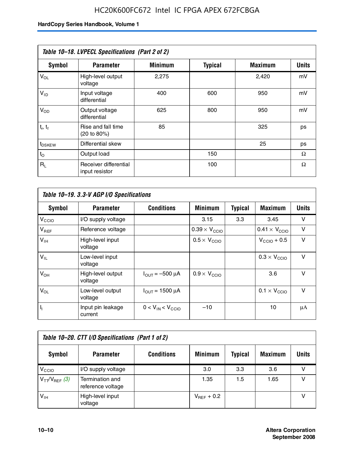# HC20K600FC672 Intel IC FPGA APEX 672FCBGA

| Table 10-18. LVPECL Specifications (Part 2 of 2) |                                         |                |                |                |              |  |  |
|--------------------------------------------------|-----------------------------------------|----------------|----------------|----------------|--------------|--|--|
| Symbol                                           | <b>Parameter</b>                        | <b>Minimum</b> | <b>Typical</b> | <b>Maximum</b> | <b>Units</b> |  |  |
| $V_{OL}$                                         | High-level output<br>voltage            | 2,275          |                | 2,420          | mV           |  |  |
| $V_{ID}$                                         | Input voltage<br>differential           | 400            | 600            | 950            | mV           |  |  |
| $V_{OD}$                                         | Output voltage<br>differential          | 625            | 800            | 950            | mV           |  |  |
| $t_r$ , $t_f$                                    | Rise and fall time<br>(20 to 80%)       | 85             |                | 325            | ps           |  |  |
| t <sub>DSKEW</sub>                               | Differential skew                       |                |                | 25             | ps           |  |  |
| $t_{\rm O}$                                      | Output load                             |                | 150            |                | Ω            |  |  |
| $R_{\rm L}$                                      | Receiver differential<br>input resistor |                | 100            |                | Ω            |  |  |

| Table 10–19. 3.3-V AGP I/O Specifications |                              |                               |                               |                |                               |              |  |
|-------------------------------------------|------------------------------|-------------------------------|-------------------------------|----------------|-------------------------------|--------------|--|
| <b>Symbol</b>                             | <b>Parameter</b>             | <b>Conditions</b>             | <b>Minimum</b>                | <b>Typical</b> | Maximum                       | <b>Units</b> |  |
| V <sub>CCIO</sub>                         | I/O supply voltage           |                               | 3.15                          | 3.3            | 3.45                          | v            |  |
| $V_{REF}$                                 | Reference voltage            |                               | $0.39 \times V_{\text{CCIO}}$ |                | $0.41 \times V_{\text{CCIO}}$ | v            |  |
| $V_{\text{IH}}$                           | High-level input<br>voltage  |                               | $0.5 \times V_{\text{CCLO}}$  |                | $V_{CClO}$ + 0.5              | v            |  |
| $V_{IL}$                                  | Low-level input<br>voltage   |                               |                               |                | $0.3 \times V_{\text{CCIO}}$  | $\vee$       |  |
| $V_{OH}$                                  | High-level output<br>voltage | $I_{\text{OUT}} = -500 \mu A$ | $0.9 \times V_{\text{CCIO}}$  |                | 3.6                           | $\vee$       |  |
| $V_{OL}$                                  | Low-level output<br>voltage  | $I_{\text{OUT}} = 1500 \mu A$ |                               |                | $0.1 \times V_{\text{CCIO}}$  | $\vee$       |  |
| ı,                                        | Input pin leakage<br>current | $0 < V_{IN} < V_{CCIO}$       | $-10$                         |                | 10                            | μA           |  |

| Table 10–20. CTT I/O Specifications (Part 1 of 2) |                                      |                   |                 |                |                |       |  |
|---------------------------------------------------|--------------------------------------|-------------------|-----------------|----------------|----------------|-------|--|
| <b>Symbol</b>                                     | <b>Parameter</b>                     | <b>Conditions</b> | <b>Minimum</b>  | <b>Typical</b> | <b>Maximum</b> | Units |  |
| V <sub>CIO</sub>                                  | I/O supply voltage                   |                   | 3.0             | 3.3            | 3.6            |       |  |
| $V_{TT}/V_{REF}$ (3)                              | Termination and<br>reference voltage |                   | 1.35            | 1.5            | 1.65           |       |  |
| $V_{IH}$                                          | High-level input<br>voltage          |                   | $V_{BFF}$ + 0.2 |                |                |       |  |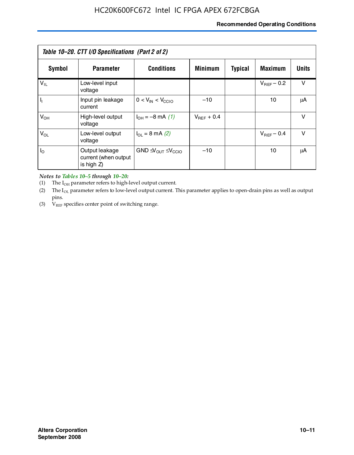# **Recommended Operating Conditions**

| Table 10–20. CTT I/O Specifications (Part 2 of 2) |                                                      |                                                         |                 |                |                 |        |  |
|---------------------------------------------------|------------------------------------------------------|---------------------------------------------------------|-----------------|----------------|-----------------|--------|--|
| Symbol                                            | <b>Parameter</b>                                     | <b>Conditions</b>                                       | <b>Minimum</b>  | <b>Typical</b> | <b>Maximum</b>  | Units  |  |
| $V_{IL}$                                          | Low-level input<br>voltage                           |                                                         |                 |                | $V_{BFF}$ – 0.2 | $\vee$ |  |
| H,                                                | Input pin leakage<br>current                         | $0 < V_{IN} < V_{CC10}$                                 | $-10$           |                | 10              | μA     |  |
| $V_{OH}$                                          | High-level output<br>voltage                         | $I_{OH} = -8 \text{ mA} (1)$                            | $V_{BFF}$ + 0.4 |                |                 | $\vee$ |  |
| $V_{OL}$                                          | Low-level output<br>voltage                          | $I_{\Omega} = 8 \text{ mA} (2)$                         |                 |                | $V_{BFF}$ – 0.4 | $\vee$ |  |
| $I_{\odot}$                                       | Output leakage<br>current (when output<br>is high Z) | GND $\triangleleft V_{\text{OUT}} \leq V_{\text{CCIO}}$ | $-10$           |                | 10              | μA     |  |

*Notes to Tables 10–5 through 10–20:*

(1) The  $I_{OH}$  parameter refers to high-level output current.

(2) The  $I_{OL}$  parameter refers to low-level output current. This parameter applies to open-drain pins as well as output pins.

(3)  $V_{REF}$  specifies center point of switching range.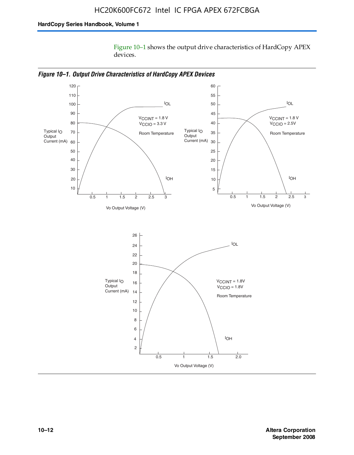Figure 10–1 shows the output drive characteristics of HardCopy APEX devices.



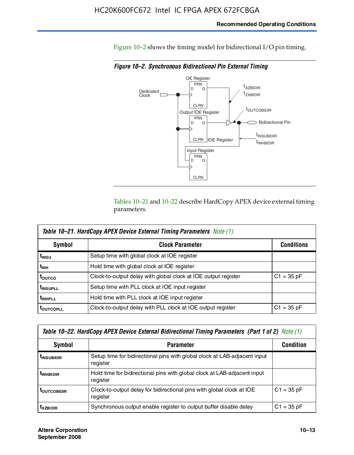Figure 10–2 shows the timing model for bidirectional I/O pin timing.

*Figure 10–2. Synchronous Bidirectional Pin External Timing*



Tables 10–21 and 10–22 describe HardCopy APEX device external timing parameters.

| <b>Table 10–21. HardCopy APEX Device External Timing Parameters Note (1)</b> |                                                                |                   |  |  |  |  |
|------------------------------------------------------------------------------|----------------------------------------------------------------|-------------------|--|--|--|--|
| Symbol                                                                       | <b>Clock Parameter</b>                                         | <b>Conditions</b> |  |  |  |  |
| t <sub>insu</sub>                                                            | Setup time with global clock at IOE register                   |                   |  |  |  |  |
| t <sub>інн</sub>                                                             | Hold time with global clock at IOE register                    |                   |  |  |  |  |
| ι <sub>ουτςο</sub>                                                           | Clock-to-output delay with global clock at IOE output register | $C1 = 35 pF$      |  |  |  |  |
| <b>t</b> INSUPLL                                                             | Setup time with PLL clock at IOE input register                |                   |  |  |  |  |
| <b>t</b> INHPLL                                                              | Hold time with PLL clock at IOE input register                 |                   |  |  |  |  |
| <b>TOUTCOPLL</b>                                                             | Clock-to-output delay with PLL clock at IOE output register    | $C1 = 35 pF$      |  |  |  |  |

| Table 10–22. HardCopy APEX Device External Bidirectional Timing Parameters (Part 1 of 2) Note (1) |                                                                                       |              |  |  |  |  |
|---------------------------------------------------------------------------------------------------|---------------------------------------------------------------------------------------|--------------|--|--|--|--|
| Symbol                                                                                            | <b>Condition</b>                                                                      |              |  |  |  |  |
| <b><i>L</i>INSUBIDIR</b>                                                                          | Setup time for bidirectional pins with global clock at LAB-adjacent input<br>register |              |  |  |  |  |
| <b><i>L</i>INHBIDIR</b>                                                                           | Hold time for bidirectional pins with global clock at LAB-adjacent input<br>register  |              |  |  |  |  |
| <b>LOUTCOBIDIR</b>                                                                                | Clock-to-output delay for bidirectional pins with global clock at IOE<br>register     | $C1 = 35 pF$ |  |  |  |  |
| <b>T</b> x <sub>7BIDIR</sub>                                                                      | Synchronous output enable register to output buffer disable delay                     | $C1 = 35 pF$ |  |  |  |  |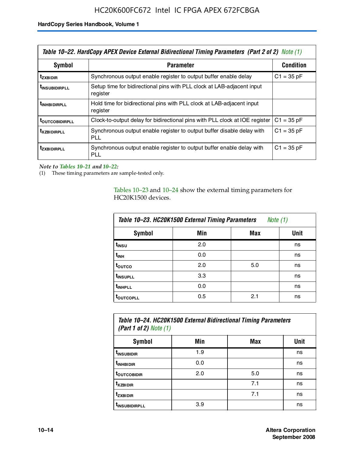| Table 10–22. HardCopy APEX Device External Bidirectional Timing Parameters (Part 2 of 2) Note (1) |                                                                                    |                  |  |  |  |
|---------------------------------------------------------------------------------------------------|------------------------------------------------------------------------------------|------------------|--|--|--|
| Symbol                                                                                            | <b>Parameter</b>                                                                   | <b>Condition</b> |  |  |  |
| t <sub>zxbidir</sub>                                                                              | Synchronous output enable register to output buffer enable delay                   | $C1 = 35 pF$     |  |  |  |
| <b>t</b> insubidirpll                                                                             | Setup time for bidirectional pins with PLL clock at LAB-adiacent input<br>register |                  |  |  |  |
| <b><i>LINHBIDIRPLL</i></b>                                                                        | Hold time for bidirectional pins with PLL clock at LAB-adjacent input<br>register  |                  |  |  |  |
| <b>TOUTCOBIDIRPLL</b>                                                                             | Clock-to-output delay for bidirectional pins with PLL clock at IOE register        | $C1 = 35 pF$     |  |  |  |
| <b>TXZBIDIRPLL</b>                                                                                | Synchronous output enable register to output buffer disable delay with<br>PLL      | $C1 = 35 pF$     |  |  |  |
| <i>t</i> zxbidirpll                                                                               | Synchronous output enable register to output buffer enable delay with<br>PLI.      | $C1 = 35 pF$     |  |  |  |

*Note to Tables 10–21 and 10–22:*

(1) These timing parameters are sample-tested only.

Tables 10–23 and 10–24 show the external timing parameters for HC20K1500 devices.

| Table 10-23. HC20K1500 External Timing Parameters<br>Note (1) |     |     |      |
|---------------------------------------------------------------|-----|-----|------|
| <b>Symbol</b>                                                 | Min | Max | Unit |
| t <sub>INSU</sub>                                             | 2.0 |     | ns   |
| $t_{\sf INH}$                                                 | 0.0 |     | ns   |
| t <sub>outco</sub>                                            | 2.0 | 5.0 | ns   |
| t <sub>INSUPLL</sub>                                          | 3.3 |     | ns   |
| t <sub>INHPLL</sub>                                           | 0.0 |     | ns   |
| <b>toutcopll</b>                                              | 0.5 | 2.1 | ns   |

| Table 10–24. HC20K1500 External Bidirectional Timing Parameters<br>(Part 1 of 2) Note $(1)$ |     |     |      |
|---------------------------------------------------------------------------------------------|-----|-----|------|
| <b>Symbol</b>                                                                               | Min | Max | Unit |
| t <sub>insubidir</sub>                                                                      | 1.9 |     | ns   |
| t <sub>inhBidir</sub>                                                                       | 0.0 |     | ns   |

**t**<sub>outcobidir 1 2.0 1 5.0 ns</sub> **tXZBIDIR** 7.1 ns **t<sub>zxbidir</sub>** https://www.flood.com/distance/community/community/community/community/community/community/community/ t<sub>INSUBIDIRPLL</sub> 3.9 and 3.9 ns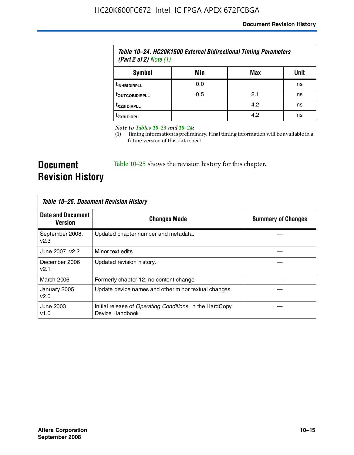| Table 10–24. HC20K1500 External Bidirectional Timing Parameters<br>(Part 2 of 2) Note $(1)$ |     |     |      |
|---------------------------------------------------------------------------------------------|-----|-----|------|
| Symbol                                                                                      | Min | Max | Unit |
| <b><i>UNHBIDIRPLL</i></b>                                                                   | 0.0 |     | ns   |
| <b><i>LOUTCOBIDIRPLL</i></b>                                                                | 0.5 | 2.1 | ns   |
| <b>TXZBIDIRPLL</b>                                                                          |     | 4.2 | ns   |
| <sup>T</sup> ZXBIDIRPLL                                                                     |     | 4.2 | ns   |

*Note to Tables 10–23 and 10–24:*

(1) Timing information is preliminary. Final timing information will be available in a future version of this data sheet.

**Document Revision History**

Table 10–25 shows the revision history for this chapter.

| Table 10–25. Document Revision History |                                                                                     |                           |
|----------------------------------------|-------------------------------------------------------------------------------------|---------------------------|
| <b>Date and Document</b><br>Version    | <b>Changes Made</b>                                                                 | <b>Summary of Changes</b> |
| September 2008,<br>V <sub>2.3</sub>    | Updated chapter number and metadata.                                                |                           |
| June 2007, v2.2                        | Minor text edits.                                                                   |                           |
| December 2006<br>v2.1                  | Updated revision history.                                                           |                           |
| March 2006                             | Formerly chapter 12; no content change.                                             |                           |
| January 2005<br>v2.0                   | Update device names and other minor textual changes.                                |                           |
| June 2003<br>v1.0                      | Initial release of <i>Operating Conditions</i> , in the HardCopy<br>Device Handbook |                           |